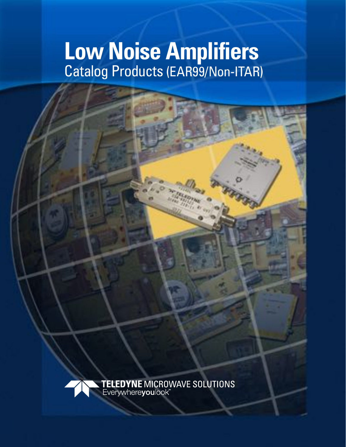# **Low Noise Amplifiers** Catalog Products (EAR99/Non-ITAR)

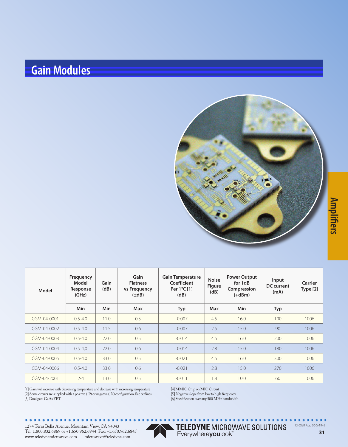#### **Gain Modules**



| Model             | Frequency<br>Model<br>Response<br>(GHz) | Gain<br>(dB) | Gain<br><b>Flatness</b><br>vs Frequency<br>$(\pm dB)$ | <b>Gain Temperature</b><br>Coefficient<br>Per 1°C [1]<br>(dB) | <b>Noise</b><br><b>Figure</b><br>(dB) | <b>Power Output</b><br>for 1dB<br>Compression<br>$(+dBm)$ | Input<br>DC current<br>(mA) | Carrier<br>Type [2] |
|-------------------|-----------------------------------------|--------------|-------------------------------------------------------|---------------------------------------------------------------|---------------------------------------|-----------------------------------------------------------|-----------------------------|---------------------|
|                   | <b>Min</b>                              | Min          | <b>Max</b>                                            | Typ                                                           | <b>Max</b>                            | <b>Min</b>                                                | Typ                         |                     |
| CGM-04-0001       | $0.5 - 4.0$                             | 11.0         | 0.5                                                   | $-0.007$                                                      | 4.5                                   | 16.0                                                      | 100                         | 1006                |
| $CGM-04-0002$     | $0.5 - 4.0$                             | 11.5         | 0.6                                                   | $-0.007$                                                      | 2.5                                   | 15.0                                                      | 90                          | 1006                |
| $CGM - 04 - 0003$ | $0.5 - 4.0$                             | 22.0         | 0.5                                                   | $-0.014$                                                      | 4.5                                   | 16.0                                                      | 200                         | 1006                |
| $CGM - 04 - 0004$ | $0.5 - 4.0$                             | 22.0         | 0.6                                                   | $-0.014$                                                      | 2.8                                   | 15.0                                                      | 180                         | 1006                |
| CGM-04-0005       | $0.5 - 4.0$                             | 33.0         | 0.5                                                   | $-0.021$                                                      | 4.5                                   | 16.0                                                      | 300                         | 1006                |
| CGM-04-0006       | $0.5 - 4.0$                             | 33.0         | 0.6                                                   | $-0.021$                                                      | 2.8                                   | 15.0                                                      | 270                         | 1006                |
| CGM-04-2001       | $2 - 4$                                 | 13.0         | 0.5                                                   | $-0.011$                                                      | 1.8                                   | 10.0                                                      | 60                          | 1006                |

[1] Gain will increase with decreasing temperature and decrease with increasing temperature [2] Some circuits are supplied with a positive (-P) or negative (-N) confguration. See outlines. [3] Dual gate GaAs FET

[4] MMIC Chip on MIC Circuit

[5] Negative slope from low to high frequency

[6] Specifcation over any 500 MHz bandwidth

.........

TELEDYNE MICROWAVE SOLUTIONS OFOISR App 06-S-1942

**31**

**fers**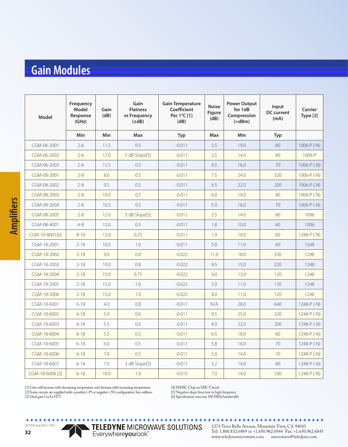#### **Gain Modules**

| Model           | Frequency<br><b>Model</b><br>Response<br>(GHz) | Gain<br>(dB) | Gain<br><b>Flatness</b><br>vs Frequency<br>$(\pm dB)$ | <b>Gain Temperature</b><br><b>Coefficient</b><br>Per 1°C [1]<br>(dB) | <b>Noise</b><br><b>Figure</b><br>(dB) | <b>Power Output</b><br>for 1dB<br>Compression<br>$(+dBm)$ | Input<br><b>DC</b> current<br>(mA) | <b>Carrier</b><br>Type [2] |
|-----------------|------------------------------------------------|--------------|-------------------------------------------------------|----------------------------------------------------------------------|---------------------------------------|-----------------------------------------------------------|------------------------------------|----------------------------|
|                 | <b>Min</b>                                     | <b>Min</b>   | <b>Max</b>                                            | Typ                                                                  | <b>Max</b>                            | Min                                                       | Typ                                |                            |
| CGM-06-2001     | $2 - 6$                                        | 11.5         | 0.5                                                   | $-0.011$                                                             | 5.5                                   | 19.0                                                      | 80                                 | 1006-P $(-N)$              |
| CGM-06-2002     | $2 - 6$                                        | 12.0         | 5 dB Slope[5]                                         | $-0.011$                                                             | 2.5                                   | 14.0                                                      | 80                                 | 1006-P                     |
| CGM-06-2003     | $2 - 6$                                        | 12.5         | 0.5                                                   | $-0.011$                                                             | 4.5                                   | 16.0                                                      | 70                                 | $1006 - P(-N)$             |
| CGM-08-2001     | $2 - 8$                                        | 8.0          | 0.5                                                   | $-0.011$                                                             | 7.5                                   | 24.0                                                      | 320                                | 1006- $P(-N)$              |
| CGM-08-2002     | $2 - 8$                                        | 9.5          | 0.5                                                   | $-0.011$                                                             | 6.5                                   | 22.0                                                      | 200                                | $1006-P(-N)$               |
| CGM-08-2003     | $2 - 8$                                        | 10.0         | 0.5                                                   | $-0.011$                                                             | 6.0                                   | 19.0                                                      | 80                                 | 1006- $P(-N)$              |
| CGM-08-2004     | $2 - 8$                                        | 10.5         | 0.5                                                   | $-0.011$                                                             | 5.0                                   | 16.0                                                      | 70                                 | 1006- $P(-N)$              |
| CGM-08-2005     | $2 - 8$                                        | 12.0         | 5 dB Slope[5]                                         | $-0.011$                                                             | 2.5                                   | 14.0                                                      | 80                                 | 1006                       |
| CGM-08-4001     | $4 - 8$                                        | 12.0         | 0.5                                                   | $-0.011$                                                             | 1.8                                   | 10.0                                                      | 60                                 | 1006                       |
| CGM-10-8001[6]  | $8 - 10$                                       | 12.0         | 0.25                                                  | $-0.011$                                                             | 1.9                                   | 10.0                                                      | 60                                 | 1248-P (-N)                |
| CGM-18-2001     | $2 - 18$                                       | 10.0         | 1.0                                                   | $-0.011$                                                             | 5.0                                   | 11.0                                                      | 60                                 | 1248                       |
| CGM-18-2002     | $2 - 18$                                       | 9.0          | 0.8                                                   | $-0.022$                                                             | 11.0                                  | 18.0                                                      | 330                                | 1248                       |
| CGM-18-2003     | $2 - 18$                                       | 10.0         | 0.8                                                   | $-0.022$                                                             | 9.5                                   | 15.0                                                      | 220                                | 1248                       |
| CGM-18-2004     | $2 - 18$                                       | 15.0         | 0.75                                                  | $-0.022$                                                             | 9.0                                   | 12.0                                                      | 120                                | 1248                       |
| CGM-18-2005     | $2 - 18$                                       | 15.0         | 1.0                                                   | $-0.022$                                                             | 5.0                                   | 11.0                                                      | 120                                | 1248                       |
| CGM-18-2006     | $2 - 18$                                       | 15.0         | 1.0                                                   | $-0.022$                                                             | 8.0                                   | 11.0                                                      | 120                                | 1248                       |
| CGM-18-6001     | $6 - 18$                                       | 4.0          | 0.8                                                   | $-0.011$                                                             | N/A                                   | 28.0                                                      | 640                                | 1248-P (-N)                |
| CGM-18-6002     | $6 - 18$                                       | 5.0          | 0.6                                                   | $-0.011$                                                             | 9.5                                   | 25.0                                                      | 320                                | $1248 - P(-N)$             |
| CGM-18-6003     | $6 - 18$                                       | 5.5          | 0.6                                                   | $-0.011$                                                             | 8.0                                   | 22.0                                                      | 200                                | 1248-P (-N)                |
| CGM-18-6004     | $6 - 18$                                       | 5.5          | 0.5                                                   | $-0.011$                                                             | 6.5                                   | 18.0                                                      | 80                                 | $1248 - P(-N)$             |
| CGM-18-6005     | $6 - 18$                                       | 6.0          | 0.5                                                   | $-0.011$                                                             | 5.8                                   | 16.0                                                      | 70                                 | 1248-P $(-N)$              |
| CGM-18-6006     | $6 - 18$                                       | 7.0          | 0.5                                                   | $-0.011$                                                             | 5.0                                   | 14.0                                                      | 70                                 | $1248 - P(-N)$             |
| CGM-18-6007     | $6 - 18$                                       | 7.0          | 3 dB Slope[5]                                         | $-0.011$                                                             | 3.2                                   | 14.0                                                      | 80                                 | 1248-P $(-N)$              |
| CGM-18-6008 [3] | $6 - 18$                                       | 10.0         | 1.0                                                   | $-0.015$                                                             | 7.0                                   | 14.0                                                      | 100                                | 1248-P (-N)                |

[4] MMIC Chip on MIC Circuit

[5] Negative slope from low to high frequency

[6] Specifcation over any 500 MHz bandwidth

TELEDYNE MICROWAVE SOLUTIONS

OFOISR App 06-S-1942

 $\begin{array}{ccccc}\n\bullet & \bullet & \bullet & \bullet & \bullet & \bullet\n\end{array}$ 

**Ampli**

**fers**

1274 Terra Bella Avenue, Mountain View, CA 94043 Tel: 1.800.832.6869 or +1.650.962.6944 Fax: +1.650.962.6845 www.teledynemicrowave.com microwave@teledyne.com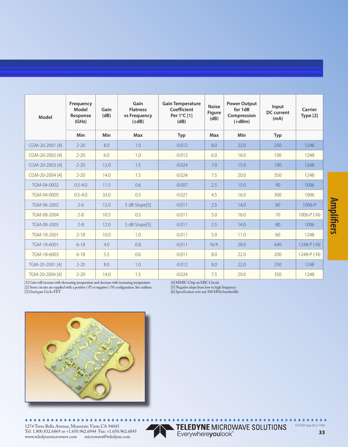| Model           | Frequency<br>Model<br>Response<br>(GHz) | Gain<br>(dB) | Gain<br><b>Flatness</b><br>vs Frequency<br>$(\pm dB)$ | <b>Gain Temperature</b><br>Coefficient<br>Per 1°C [1]<br>(dB) | <b>Noise</b><br><b>Figure</b><br>(dB) | <b>Power Output</b><br>for 1dB<br>Compression<br>$(+dBm)$ | Input<br><b>DC</b> current<br>(mA) | Carrier<br>Type [2] |
|-----------------|-----------------------------------------|--------------|-------------------------------------------------------|---------------------------------------------------------------|---------------------------------------|-----------------------------------------------------------|------------------------------------|---------------------|
|                 | <b>Min</b>                              | Min          | <b>Max</b>                                            | <b>Typ</b>                                                    | <b>Max</b>                            | Min                                                       | <b>Typ</b>                         |                     |
| CGM-20-2001 [4] | $2 - 20$                                | 8.0          | 1.0                                                   | $-0.012$                                                      | 8.0                                   | 22.0                                                      | 250                                | 1248                |
| CGM-20-2002 [4] | $2 - 20$                                | 6.0          | 1.0                                                   | $-0.012$                                                      | 6.0                                   | 16.0                                                      | 100                                | 1248                |
| CGM-20-2003 [4] | $2 - 20$                                | 12.0         | 1.5                                                   | $-0.024$                                                      | 7.0                                   | 15.0                                                      | 100                                | 1248                |
| CGM-20-2004 [4] | $2 - 20$                                | 14.0         | 1.5                                                   | $-0.024$                                                      | 7.5                                   | 20.0                                                      | 350                                | 1248                |
| TGM-04-0002     | $0.5 - 4.0$                             | 11.5         | 0.6                                                   | $-0.007$                                                      | 2.5                                   | 15.0                                                      | 90                                 | 1006                |
| TGM-04-0005     | $0.5 - 4.0$                             | 33.0         | 0.5                                                   | $-0.021$                                                      | 4.5                                   | 16.0                                                      | 300                                | 1006                |
| TGM-06-2002     | $2 - 6$                                 | 12.0         | 5 dB Slope[5]                                         | $-0.011$                                                      | 2.5                                   | 14.0                                                      | 80                                 | 1006-P              |
| TGM-08-2004     | $2 - 8$                                 | 10.5         | 0.5                                                   | $-0.011$                                                      | 5.0                                   | 16.0                                                      | 70                                 | $1006-P(-N)$        |
| TGM-08-2005     | $2 - 8$                                 | 12.0         | 5 dB Slope[5]                                         | $-0.011$                                                      | 2.5                                   | 14.0                                                      | 80                                 | 1006                |
| TGM-18-2001     | $2 - 18$                                | 10.0         | 1.0                                                   | $-0.011$                                                      | 5.0                                   | 11.0                                                      | 60                                 | 1248                |
| TGM-18-6001     | $6 - 18$                                | 4.0          | 0.8                                                   | $-0.011$                                                      | N/A                                   | 28.0                                                      | 640                                | 1248-P (-N)         |
| TGM-18-6003     | $6 - 18$                                | 5.5          | 0.6                                                   | $-0.011$                                                      | 8.0                                   | 22.0                                                      | 200                                | $1248-P(-N)$        |
| TGM-20-2001 [4] | $2 - 20$                                | 8.0          | 1.0                                                   | $-0.012$                                                      | 8.0                                   | 22.0                                                      | 250                                | 1248                |
| TGM-20-2004 [4] | $2 - 20$                                | 14.0         | 1.5                                                   | $-0.024$                                                      | 7.5                                   | 20.0                                                      | 350                                | 1248                |

[1] Gain will increase with decreasing temperature and decrease with increasing temperature [2] Some circuits are supplied with a positive (-P) or negative (-N) confguration. See outlines.

[3] Dual gate GaAs FET

[4] MMIC Chip on MIC Circuit

[5] Negative slope from low to high frequency

[6] Specifcation over any 500 MHz bandwidth



. . . . . . . . . . . . . . . .  $\blacksquare$ 

1274 Terra Bella Avenue, Mountain View, CA 94043 Tel: 1.800.832.6869 or +1.650.962.6944 Fax: +1.650.962.6845 www.teledynemicrowave.com microwave@teledyne.com



TELEDYNE MICROWAVE SOLUTIONS<br>Everywhereyoulook" OFOISR App 06-S-1942

#### **Ampli fers**

 $0.0.0$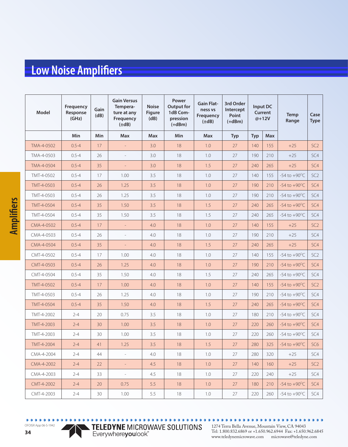| Model      | Frequency<br>Response<br>(GHz) | Gain<br>(dB) | <b>Gain Versus</b><br>Tempera-<br>ture at any<br>Frequency<br>$(\pm dB)$ | <b>Noise</b><br><b>Figure</b><br>(dB) | Power<br><b>Output for</b><br>1dB Com-<br>pression<br>$(+dBm)$ | <b>Gain Flat-</b><br>ness vs<br>Frequency<br>$(\pm dB)$ | 3rd Order<br>Intercept<br>Point<br>$(+dBm)$ | Input DC<br>Current<br>@+12V |            | <b>Temp</b><br>Range     |                 |
|------------|--------------------------------|--------------|--------------------------------------------------------------------------|---------------------------------------|----------------------------------------------------------------|---------------------------------------------------------|---------------------------------------------|------------------------------|------------|--------------------------|-----------------|
|            | Min                            | Min          | Max                                                                      | <b>Max</b>                            | <b>Min</b>                                                     | <b>Max</b>                                              | <b>Typ</b>                                  | <b>Typ</b>                   | <b>Max</b> |                          |                 |
| TMA-4-0502 | $0.5 - 4$                      | 17           | $\overline{\phantom{a}}$                                                 | 3.0                                   | 18                                                             | 1.0                                                     | 27                                          | 140                          | 155        | $+25$                    | SC <sub>2</sub> |
| TMA-4-0503 | $0.5 - 4$                      | 26           | $\overline{\phantom{a}}$                                                 | 3.0                                   | 18                                                             | 1.0                                                     | 27                                          | 190                          | 210        | $+25$                    | SC4             |
| TMA-4-0504 | $0.5 - 4$                      | 35           | $\overline{\phantom{a}}$                                                 | 3.0                                   | 18                                                             | 1.5                                                     | 27                                          | 240                          | 265        | $+25$                    | SC4             |
| TMT-4-0502 | $0.5 - 4$                      | 17           | 1.00                                                                     | 3.5                                   | 18                                                             | 1.0                                                     | 27                                          | 140                          | 155        | -54 to $+90^{\circ}$ C   | SC <sub>2</sub> |
| TMT-4-0503 | $0.5 - 4$                      | 26           | 1.25                                                                     | 3.5                                   | 18                                                             | 1.0                                                     | 27                                          | 190                          | 210        | $-54$ to $+90^{\circ}$ C | SC4             |
| TMT-4-0503 | $0.5 - 4$                      | 26           | 1.25                                                                     | 3.5                                   | 18                                                             | 1.0                                                     | 27                                          | 190                          | 210        | $-54$ to $+90^{\circ}$ C | SC4             |
| TMT-4-0504 | $0.5 - 4$                      | 35           | 1.50                                                                     | 3.5                                   | 18                                                             | 1.5                                                     | 27                                          | 240                          | 265        | $-54$ to $+90^{\circ}$ C | SC4             |
| TMT-4-0504 | $0.5 - 4$                      | 35           | 1.50                                                                     | 3.5                                   | 18                                                             | 1.5                                                     | 27                                          | 240                          | 265        | $-54$ to $+90^{\circ}$ C | SC4             |
| CMA-4-0502 | $0.5 - 4$                      | 17           | $\equiv$                                                                 | 4.0                                   | 18                                                             | 1.0                                                     | 27                                          | 140                          | 155        | $+25$                    | SC <sub>2</sub> |
| CMA-4-0503 | $0.5 - 4$                      | 26           | $\overline{\phantom{a}}$                                                 | 4.0                                   | 18                                                             | 1.0                                                     | 27                                          | 190                          | 210        | $+25$                    | SC4             |
| CMA-4-0504 | $0.5 - 4$                      | 35           | $\equiv$                                                                 | 4.0                                   | 18                                                             | 1.5                                                     | 27                                          | 240                          | 265        | $+25$                    | SC4             |
| CMT-4-0502 | $0.5 - 4$                      | 17           | 1.00                                                                     | 4.0                                   | 18                                                             | 1.0                                                     | 27                                          | 140                          | 155        | $-54$ to $+90^{\circ}$ C | SC <sub>2</sub> |
| CMT-4-0503 | $0.5 - 4$                      | 26           | 1.25                                                                     | 4.0                                   | 18                                                             | 1.0                                                     | 27                                          | 190                          | 210        | $-54$ to $+90^{\circ}$ C | SC4             |
| CMT-4-0504 | $0.5 - 4$                      | 35           | 1.50                                                                     | 4.0                                   | 18                                                             | 1.5                                                     | 27                                          | 240                          | 265        | $-54$ to $+90^{\circ}$ C | SC4             |
| TMT-4-0502 | $0.5 - 4$                      | 17           | 1.00                                                                     | 4.0                                   | 18                                                             | 1.0                                                     | 27                                          | 140                          | 155        | $-54$ to $+90^{\circ}$ C | SC <sub>2</sub> |
| TMT-4-0503 | $0.5 - 4$                      | 26           | 1.25                                                                     | 4.0                                   | 18                                                             | 1.0                                                     | 27                                          | 190                          | 210        | -54 to $+90^{\circ}$ C   | SC4             |
| TMT-4-0504 | $0.5 - 4$                      | 35           | 1.50                                                                     | 4.0                                   | 18                                                             | 1.5                                                     | 27                                          | 240                          | 265        | $-54$ to $+90^{\circ}$ C | SC4             |
| TMT-4-2002 | $2 - 4$                        | 20           | 0.75                                                                     | 3.5                                   | 18                                                             | 1.0                                                     | 27                                          | 180                          | 210        | $-54$ to $+90^{\circ}$ C | SC4             |
| TMT-4-2003 | $2 - 4$                        | 30           | 1.00                                                                     | 3.5                                   | 18                                                             | 1.0                                                     | 27                                          | 220                          | 260        | $-54$ to $+90^{\circ}$ C | SC4             |
| TMT-4-2003 | $2 - 4$                        | 30           | 1.00                                                                     | 3.5                                   | 18                                                             | 1.0                                                     | 27                                          | 220                          | 260        | $-54$ to $+90^{\circ}$ C | SC4             |
| TMT-4-2004 | $2 - 4$                        | 41           | 1.25                                                                     | 3.5                                   | 18                                                             | 1.5                                                     | 27                                          | 280                          | 325        | $-54$ to $+90^{\circ}$ C | SC <sub>6</sub> |
| CMA-4-2004 | $2 - 4$                        | 44           | $\equiv$                                                                 | 4.0                                   | 18                                                             | 1.0                                                     | 27                                          | 280                          | 320        | $+25$                    | SC4             |
| CMA-4-2002 | $2 - 4$                        | 22           | $\equiv$                                                                 | 4.5                                   | 18                                                             | 1.0                                                     | 27                                          | 140                          | 160        | $+25$                    | SC <sub>2</sub> |
| CMA-4-2003 | $2 - 4$                        | 33           | $\overline{\phantom{a}}$                                                 | 4.5                                   | 18                                                             | 1.0                                                     | 27                                          | 220                          | 240        | $+25$                    | SC4             |
| CMT-4-2002 | $2 - 4$                        | 20           | 0.75                                                                     | 5.5                                   | 18                                                             | 1.0                                                     | 27                                          | 180                          | 210        | $-54$ to $+90^{\circ}$ C | SC4             |
| CMT-4-2003 | $2 - 4$                        | $30\,$       | 1.00                                                                     | 5.5                                   | 18                                                             | $1.0\,$                                                 | 27                                          | 220                          | 260        | -54 to $+90^{\circ}$ C   | SC4             |

**34**

 $\bullet$   $\bullet$   $\bullet$ 

OFOISR App 06-S-1942

TELEDYNE MICROWAVE SOLUTIONS

 $\bullet$  $\bullet$ 1274 Terra Bella Avenue, Mountain View, CA 94043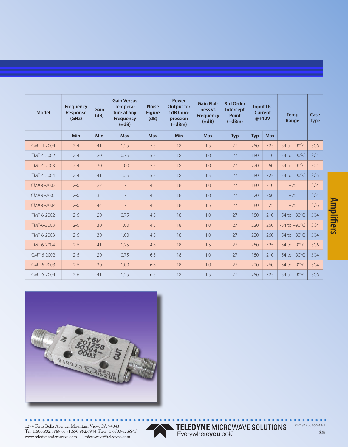| <b>Model</b> | <b>Frequency</b><br>Response<br>(GHz) | Gain<br>(dB) | <b>Gain Versus</b><br>Tempera-<br>ture at any<br><b>Frequency</b><br>$(\pm dB)$ | <b>Noise</b><br><b>Figure</b><br>(dB) | Power<br><b>Output for</b><br>1dB Com-<br>pression<br>$(+dBm)$ | <b>Gain Flat-</b><br>ness vs<br><b>Frequency</b><br>$(\pm dB)$ | 3rd Order<br>Intercept<br>Point<br>$(+dBm)$ |            | Input DC<br><b>Current</b><br>$@+12V$ | <b>Temp</b><br>Range     | Case<br><b>Type</b> |
|--------------|---------------------------------------|--------------|---------------------------------------------------------------------------------|---------------------------------------|----------------------------------------------------------------|----------------------------------------------------------------|---------------------------------------------|------------|---------------------------------------|--------------------------|---------------------|
|              | <b>Min</b>                            | Min          | <b>Max</b>                                                                      | <b>Max</b>                            | Min                                                            | <b>Max</b>                                                     | <b>Typ</b>                                  | <b>Typ</b> | <b>Max</b>                            |                          |                     |
| CMT-4-2004   | $2 - 4$                               | 41           | 1.25                                                                            | 5.5                                   | 18                                                             | 1.5                                                            | 27                                          | 280        | 325                                   | $-54$ to $+90^{\circ}$ C | SC <sub>6</sub>     |
| TMT-4-2002   | $2 - 4$                               | 20           | 0.75                                                                            | 5.5                                   | 18                                                             | 1.0                                                            | 27                                          | 180        | 210                                   | $-54$ to $+90^{\circ}$ C | SC4                 |
| TMT-4-2003   | $2 - 4$                               | 30           | 1.00                                                                            | 5.5                                   | 18                                                             | 1.0                                                            | 27                                          | 220        | 260                                   | $-54$ to $+90^{\circ}$ C | SC <sub>4</sub>     |
| TMT-4-2004   | $2 - 4$                               | 41           | 1.25                                                                            | 5.5                                   | 18                                                             | 1.5                                                            | 27                                          | 280        | 325                                   | $-54$ to $+90^{\circ}$ C | SC <sub>6</sub>     |
| CMA-6-2002   | $2 - 6$                               | 22           | $\equiv$                                                                        | 4.5                                   | 18                                                             | 1.0                                                            | 27                                          | 180        | 210                                   | $+25$                    | SC <sub>4</sub>     |
| CMA-6-2003   | $2 - 6$                               | 33           |                                                                                 | 4.5                                   | 18                                                             | 1.0                                                            | 27                                          | 220        | 260                                   | $+25$                    | SC <sub>4</sub>     |
| CMA-6-2004   | $2 - 6$                               | 44           | $\equiv$                                                                        | 4.5                                   | 18                                                             | 1.5                                                            | 27                                          | 280        | 325                                   | $+25$                    | SC <sub>6</sub>     |
| TMT-6-2002   | $2 - 6$                               | 20           | 0.75                                                                            | 4.5                                   | 18                                                             | 1.0                                                            | 27                                          | 180        | 210                                   | $-54$ to $+90^{\circ}$ C | SC <sub>4</sub>     |
| TMT-6-2003   | $2 - 6$                               | 30           | 1.00                                                                            | 4.5                                   | 18                                                             | 1.0                                                            | 27                                          | 220        | 260                                   | $-54$ to $+90^{\circ}$ C | SC <sub>4</sub>     |
| TMT-6-2003   | $2 - 6$                               | 30           | 1.00                                                                            | 4.5                                   | 18                                                             | 1.0                                                            | 27                                          | 220        | 260                                   | $-54$ to $+90^{\circ}$ C | SC4                 |
| TMT-6-2004   | $2 - 6$                               | 41           | 1.25                                                                            | 4.5                                   | 18                                                             | 1.5                                                            | 27                                          | 280        | 325                                   | $-54$ to $+90^{\circ}$ C | SC <sub>6</sub>     |
| CMT-6-2002   | $2-6$                                 | 20           | 0.75                                                                            | 6.5                                   | 18                                                             | 1.0                                                            | 27                                          | 180        | 210                                   | $-54$ to $+90^{\circ}$ C | SC <sub>4</sub>     |
| CMT-6-2003   | $2-6$                                 | 30           | 1.00                                                                            | 6.5                                   | 18                                                             | 1.0                                                            | 27                                          | 220        | 260                                   | $-54$ to $+90^{\circ}$ C | SC <sub>4</sub>     |
| CMT-6-2004   | $2-6$                                 | 41           | 1.25                                                                            | 6.5                                   | 18                                                             | 1.5                                                            | 27                                          | 280        | 325                                   | $-54$ to $+90^{\circ}$ C | SC <sub>6</sub>     |



 $\bullet$  $\bullet$ 

1274 Terra Bella Avenue, Mountain View, CA 94043 Tel: 1.800.832.6869 or +1.650.962.6944 Fax: +1.650.962.6845 www.teledynemicrowave.com microwave@teledyne.com



TELEDYNE MICROWAVE SOLUTIONS<br>Everywhereyoulook" OFOISR App 06-S-1942

 $\bullet$   $\bullet$   $\bullet$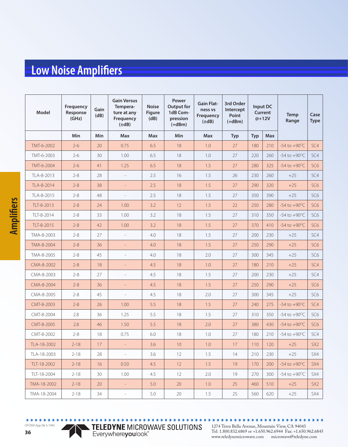| Model       | Frequency<br>Response<br>(GHz) | Gain<br>(dB) | <b>Gain Versus</b><br>Tempera-<br>ture at any<br>Frequency<br>$(\pm dB)$ | <b>Noise</b><br><b>Figure</b><br>(dB) | Power<br><b>Output for</b><br>1dB Com-<br>pression<br>$(+dBm)$ | <b>Gain Flat-</b><br>ness vs<br>Frequency<br>$(\pm dB)$ | 3rd Order<br>Intercept<br>Point<br>$(+dBm)$ | Input DC<br>Current<br>@+12V |            | Temp<br>Range            | Case<br><b>Type</b> |
|-------------|--------------------------------|--------------|--------------------------------------------------------------------------|---------------------------------------|----------------------------------------------------------------|---------------------------------------------------------|---------------------------------------------|------------------------------|------------|--------------------------|---------------------|
|             | Min                            | Min          | Max                                                                      | Max                                   | <b>Min</b>                                                     | <b>Max</b>                                              | <b>Typ</b>                                  | <b>Typ</b>                   | <b>Max</b> |                          |                     |
| TMT-6-2002  | $2 - 6$                        | 20           | 0.75                                                                     | 6.5                                   | 18                                                             | 1.0                                                     | 27                                          | 180                          | 210        | $-54$ to $+90^{\circ}$ C | SC4                 |
| TMT-6-2003  | $2 - 6$                        | 30           | 1.00                                                                     | 6.5                                   | 18                                                             | 1.0                                                     | 27                                          | 220                          | 260        | $-54$ to $+90^{\circ}$ C | SC4                 |
| TMT-6-2004  | $2 - 6$                        | 41           | 1.25                                                                     | 6.5                                   | 18                                                             | 1.5                                                     | 27                                          | 280                          | 325        | $-54$ to $+90^{\circ}$ C | SC <sub>6</sub>     |
| TLA-8-2013  | $2 - 8$                        | 28           | $\overline{\phantom{a}}$                                                 | 2.5                                   | 16                                                             | 1.5                                                     | 26                                          | 230                          | 260        | $+25$                    | SC4                 |
| TLA-8-2014  | $2 - 8$                        | 38           | $\overline{\phantom{a}}$                                                 | 2.5                                   | 18                                                             | 1.5                                                     | 27                                          | 290                          | 320        | $+25$                    | SC <sub>6</sub>     |
| TLA-8-2015  | $2 - 8$                        | 48           | $\overline{\phantom{a}}$                                                 | 2.5                                   | 18                                                             | 1.5                                                     | 27                                          | 350                          | 390        | $+25$                    | SC <sub>6</sub>     |
| TLT-8-2013  | $2 - 8$                        | 24           | 1.00                                                                     | 3.2                                   | 12                                                             | 1.5                                                     | 22                                          | 250                          | 280        | $-54$ to $+90^{\circ}$ C | SC <sub>6</sub>     |
| TLT-8-2014  | $2 - 8$                        | 33           | 1.00                                                                     | 3.2                                   | 18                                                             | 1.5                                                     | 27                                          | 310                          | 350        | $-54$ to $+90^{\circ}$ C | SC <sub>6</sub>     |
| TLT-8-2015  | $2 - 8$                        | 42           | 1.00                                                                     | 3.2                                   | 18                                                             | 1.5                                                     | 27                                          | 370                          | 410        | $-54$ to $+90^{\circ}$ C | SC <sub>6</sub>     |
| TMA-8-2003  | $2 - 8$                        | 27           | $\overline{\phantom{a}}$                                                 | 4.0                                   | 18                                                             | 1.5                                                     | 27                                          | 200                          | 230        | $+25$                    | SC4                 |
| TMA-8-2004  | $2 - 8$                        | 36           | $\overline{\phantom{a}}$                                                 | 4.0                                   | 18                                                             | 1.5                                                     | 27                                          | 250                          | 290        | $+25$                    | SC <sub>6</sub>     |
| TMA-8-2005  | $2 - 8$                        | 45           | $\overline{a}$                                                           | 4.0                                   | 18                                                             | 2.0                                                     | 27                                          | 300                          | 345        | $+25$                    | SC <sub>6</sub>     |
| CMA-8-2002  | $2 - 8$                        | 18           | $\overline{a}$                                                           | 4.5                                   | 18                                                             | 1.0                                                     | 27                                          | 180                          | 210        | $+25$                    | SC4                 |
| CMA-8-2003  | $2 - 8$                        | 27           | $\overline{a}$                                                           | 4.5                                   | 18                                                             | 1.5                                                     | 27                                          | 200                          | 230        | $+25$                    | SC4                 |
| CMA-8-2004  | $2 - 8$                        | 36           | $\overline{\phantom{a}}$                                                 | 4.5                                   | 18                                                             | 1.5                                                     | 27                                          | 250                          | 290        | $+25$                    | SC <sub>6</sub>     |
| CMA-8-2005  | $2 - 8$                        | 45           | $\overline{\phantom{a}}$                                                 | 4.5                                   | 18                                                             | 2.0                                                     | 27                                          | 300                          | 345        | $+25$                    | SC <sub>6</sub>     |
| CMT-8-2003  | $2 - 8$                        | 26           | 1.00                                                                     | 5.5                                   | 18                                                             | 1.5                                                     | 27                                          | 240                          | 275        | $-54$ to $+90^{\circ}$ C | SC4                 |
| CMT-8-2004  | 2.8                            | 36           | 1.25                                                                     | 5.5                                   | 18                                                             | 1.5                                                     | 27                                          | 310                          | 350        | $-54$ to $+90^{\circ}$ C | SC <sub>6</sub>     |
| CMT-8-2005  | 2.8                            | 46           | 1.50                                                                     | 5.5                                   | 18                                                             | 2.0                                                     | 27                                          | 380                          | 430        | $-54$ to $+90^{\circ}$ C | SC <sub>6</sub>     |
| CMT-8-2002  | $2 - 8$                        | 18           | 0.75                                                                     | 6.0                                   | 18                                                             | 1.0                                                     | 27                                          | 180                          | 210        | $-54$ to $+90^{\circ}$ C | SC4                 |
| TLA-18-2002 | $2 - 18$                       | 17           | $\equiv$                                                                 | 3.6                                   | 10                                                             | 1.0                                                     | 17                                          | 110                          | 120        | $+25$                    | SX <sub>2</sub>     |
| TLA-18-2003 | $2 - 18$                       | 28           | $\overline{\phantom{a}}$                                                 | 3.6                                   | 12                                                             | 1.5                                                     | 14                                          | 210                          | 230        | $+25$                    | SX4                 |
| TLT-18-2002 | $2 - 18$                       | 16           | 0.50                                                                     | 4.5                                   | 12                                                             | 1.5                                                     | 19                                          | 170                          | 200        | $-54$ to $+90^{\circ}$ C | SX4                 |
| TLT-18-2004 | $2 - 18$                       | 30           | 1.00                                                                     | 4.5                                   | 12                                                             | 2.0                                                     | 19                                          | 270                          | 300        | $-54$ to $+90^{\circ}$ C | SX4                 |
| TMA-18-2002 | $2 - 18$                       | 20           | $\omega_{\rm c}$                                                         | 5.0                                   | 20                                                             | 1.0                                                     | 25                                          | 460                          | 510        | $+25$                    | SX <sub>2</sub>     |
| TMA-18-2004 | $2 - 18$                       | 34           | $\equiv$                                                                 | 5.0                                   | 20                                                             | 1.5                                                     | 25                                          | 560                          | 620        | $+25$                    | SX4                 |

**36**

OFOISR App 06-S-1942

.........

 $\bullet$ 

TELEDYNE MICROWAVE SOLUTIONS<br>Everywhereyoulook"

 $\bullet$  $\bullet$  $\bullet$  $\bullet$  $0.0.0$ 1274 Terra Bella Avenue, Mountain View, CA 94043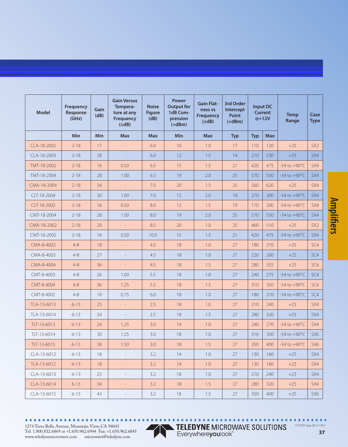| <b>Model</b> | Frequency<br>Response<br>(GHz) | Gain<br>(dB) | <b>Gain Versus</b><br>Tempera-<br>ture at any<br>Frequency<br>$(\pm dB)$ | <b>Noise</b><br><b>Figure</b><br>(dB) | Power<br><b>Output for</b><br>1dB Com-<br>pression<br>$(+dBm)$ | <b>Gain Flat-</b><br>ness vs<br><b>Frequency</b><br>$(\pm dB)$ | 3rd Order<br>Intercept<br><b>Point</b><br>$(+dBm)$ |            | Input DC<br><b>Current</b><br>@+12V | <b>Temp</b><br>Range     | Case<br><b>Type</b> |
|--------------|--------------------------------|--------------|--------------------------------------------------------------------------|---------------------------------------|----------------------------------------------------------------|----------------------------------------------------------------|----------------------------------------------------|------------|-------------------------------------|--------------------------|---------------------|
|              | <b>Min</b>                     | <b>Min</b>   | <b>Max</b>                                                               | <b>Max</b>                            | Min                                                            | <b>Max</b>                                                     | <b>Typ</b>                                         | <b>Typ</b> | <b>Max</b>                          |                          |                     |
| CLA-18-2002  | $2 - 18$                       | 17           | $\overline{\phantom{a}}$                                                 | 6.0                                   | 10                                                             | 1.0                                                            | 17                                                 | 110        | 120                                 | $+25$                    | SX <sub>2</sub>     |
| CLA-18-2003  | $2 - 18$                       | 28           | $\overline{a}$                                                           | 6.0                                   | 12                                                             | 1.5                                                            | 14                                                 | 210        | 230                                 | $+25$                    | SX4                 |
| TMT-18-2002  | $2 - 18$                       | 16           | 0.50                                                                     | 6.5                                   | 15                                                             | 1.5                                                            | 21                                                 | 420        | 475                                 | -54 to $+90^{\circ}$ C   | SX4                 |
| TMT-18-2004  | $2 - 18$                       | 28           | 1.00                                                                     | 6.5                                   | 19                                                             | 2.0                                                            | 25                                                 | 570        | 550                                 | $-54$ to $+90^{\circ}$ C | SX4                 |
| CMA-18-2004  | $2 - 18$                       | 34           | $\equiv$                                                                 | 7.0                                   | 20                                                             | 1.5                                                            | 25                                                 | 560        | 620                                 | $+25$                    | SX4                 |
| CLT-18-2004  | $2 - 18$                       | 30           | 1.00                                                                     | 7.0                                   | 12                                                             | 2.0                                                            | 19                                                 | 270        | 300                                 | $-54$ to $+90^{\circ}$ C | SX4                 |
| CLT-18-2002  | $2 - 18$                       | 16           | 0.50                                                                     | 8.0                                   | 12                                                             | 1.5                                                            | 19                                                 | 170        | 200                                 | $-54$ to $+90^{\circ}$ C | SX4                 |
| CMT-18-2004  | $2 - 18$                       | 28           | 1.00                                                                     | 8.0                                   | 19                                                             | 2.0                                                            | 25                                                 | 570        | 550                                 | $-54$ to $+90^{\circ}$ C | SX4                 |
| CMA-18-2002  | $2 - 18$                       | 20           | $\mathcal{L}_{\mathcal{A}}$                                              | 8.5                                   | 20                                                             | 1.0                                                            | 25                                                 | 460        | 510                                 | $+25$                    | SX <sub>2</sub>     |
| CMT-18-2002  | $2 - 18$                       | 16           | 0.50                                                                     | 10.0                                  | 15                                                             | 1.5                                                            | 21                                                 | 420        | 475                                 | $-54$ to $+90^{\circ}$ C | SX4                 |
| CMA-8-4002   | $4 - 8$                        | 18           | $\mathcal{L}_{\mathcal{A}}$                                              | 4.5                                   | 18                                                             | 1.0                                                            | 27                                                 | 180        | 210                                 | $+25$                    | SC <sub>4</sub>     |
| CMA-8-4003   | $4 - 8$                        | 27           | $\overline{\phantom{a}}$                                                 | 4.5                                   | 18                                                             | 1.0                                                            | 27                                                 | 220        | 260                                 | $+25$                    | SC4                 |
| CMA-8-4004   | $4 - 8$                        | 36           | $\overline{\phantom{a}}$                                                 | 4.5                                   | 18                                                             | 1.5                                                            | 27                                                 | 280        | 325                                 | $+25$                    | SC <sub>6</sub>     |
| CMT-8-4003   | $4 - 8$                        | 26           | 1.00                                                                     | 5.5                                   | 18                                                             | 1.0                                                            | 27                                                 | 240        | 275                                 | $-54$ to $+90^{\circ}$ C | SC4                 |
| CMT-8-4004   | $4 - 8$                        | 36           | 1.25                                                                     | 5.5                                   | 18                                                             | 1.5                                                            | 27                                                 | 310        | 350                                 | $-54$ to $+90^{\circ}$ C | SC <sub>6</sub>     |
| CMT-8-4002   | $4 - 8$                        | 18           | 0.75                                                                     | 6.0                                   | 18                                                             | 1.0                                                            | 27                                                 | 180        | 210                                 | $-54$ to $+90^{\circ}$ C | SC4                 |
| TLA-13-6013  | $6 - 13$                       | 25           | $\equiv$                                                                 | 2.5                                   | 18                                                             | 1.0                                                            | 27                                                 | 210        | 240                                 | $+25$                    | SX4                 |
| TLA-13-6014  | $6 - 13$                       | 34           | $\overline{\phantom{a}}$                                                 | 2.5                                   | 18                                                             | 1.5                                                            | 27                                                 | 280        | 320                                 | $+25$                    | SX4                 |
| TLT-13-6013  | $6 - 13$                       | 24           | 1.25                                                                     | 3.0                                   | 14                                                             | 1.0                                                            | 27                                                 | 240        | 270                                 | $-54$ to $+90^{\circ}$ C | SX4                 |
| TLT-13-6014  | $6 - 13$                       | 30           | 1.25                                                                     | 3.0                                   | 18                                                             | 1.0                                                            | 27                                                 | 316        | 350                                 | $-54$ to $+90^{\circ}$ C | SX6                 |
| TLT-13-6015  | $6 - 13$                       | 38           | 1.50                                                                     | 3.0                                   | 18                                                             | 1.5                                                            | 27                                                 | 350        | 400                                 | $-54$ to $+90^{\circ}$ C | SX <sub>6</sub>     |
| CLA-13-6012  | $6 - 13$                       | 18           | $\overline{\phantom{a}}$                                                 | 3.2                                   | 14                                                             | 1.0                                                            | 27                                                 | 130        | 160                                 | $+25$                    | SX4                 |
| TLA-13-6012  | $6 - 13$                       | 18           | $\equiv$                                                                 | 3.2                                   | 14                                                             | 1.0                                                            | 27                                                 | 130        | 160                                 | $+25$                    | SX4                 |
| CLA-13-6013  | $6 - 13$                       | 25           | $\overline{\phantom{a}}$                                                 | 3.2                                   | 18                                                             | 1.0                                                            | 27                                                 | 210        | 240                                 | $+25$                    | SX4                 |
| CLA-13-6014  | $6 - 13$                       | 34           | $\equiv$                                                                 | 3.2                                   | 18                                                             | 1.5                                                            | 27                                                 | 280        | 320                                 | $+25$                    | SX4                 |
| CLA-13-6015  | $6 - 13$                       | 43           | $\equiv$                                                                 | 3.2                                   | 18                                                             | 1.5                                                            | 27                                                 | 350        | 400                                 | $+25$                    | SX6                 |

................

TELEDYNE MICROWAVE SOLUTIONS<br>Everywhereyoulook"

 $0.0.0$ OFOISR App 06-S-1942

 $\bullet$  $\bullet$ 



 $\bullet$  $\blacksquare$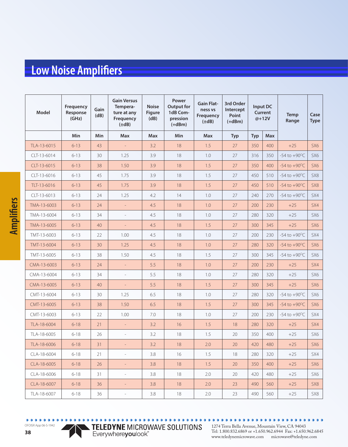| Model       | Frequency<br>Response<br>(GHz) | Gain<br>(dB) | <b>Gain Versus</b><br>Tempera-<br>ture at any<br>Frequency<br>$(\pm dB)$ | <b>Noise</b><br><b>Figure</b><br>(dB) | Power<br><b>Output for</b><br>1dB Com-<br>pression<br>$(+dBm)$ | <b>Gain Flat-</b><br>ness vs<br>Frequency<br>$(\pm dB)$ | 3rd Order<br>Intercept<br>Point<br>$(+dBm)$ | Input DC<br>Current<br>@+12V |            | Temp<br>Range            |                 |
|-------------|--------------------------------|--------------|--------------------------------------------------------------------------|---------------------------------------|----------------------------------------------------------------|---------------------------------------------------------|---------------------------------------------|------------------------------|------------|--------------------------|-----------------|
|             | Min                            | <b>Min</b>   | <b>Max</b>                                                               | <b>Max</b>                            | <b>Min</b>                                                     | <b>Max</b>                                              | <b>Typ</b>                                  | <b>Typ</b>                   | <b>Max</b> |                          |                 |
| TLA-13-6015 | $6 - 13$                       | 43           | $\overline{\phantom{a}}$                                                 | 3.2                                   | 18                                                             | 1.5                                                     | 27                                          | 350                          | 400        | $+25$                    | SX <sub>6</sub> |
| CLT-13-6014 | $6 - 13$                       | 30           | 1.25                                                                     | 3.9                                   | 18                                                             | 1.0                                                     | 27                                          | 316                          | 350        | $-54$ to $+90^{\circ}$ C | SX6             |
| CLT-13-6015 | $6 - 13$                       | 38           | 1.50                                                                     | 3.9                                   | 18                                                             | 1.5                                                     | 27                                          | 350                          | 400        | $-54$ to $+90^{\circ}$ C | SX6             |
| CLT-13-6016 | $6 - 13$                       | 45           | 1.75                                                                     | 3.9                                   | 18                                                             | 1.5                                                     | 27                                          | 450                          | 510        | $-54$ to $+90^{\circ}$ C | SX8             |
| TLT-13-6016 | $6 - 13$                       | 45           | 1.75                                                                     | 3.9                                   | 18                                                             | 1.5                                                     | 27                                          | 450                          | 510        | $-54$ to $+90^{\circ}$ C | SX8             |
| CLT-13-6013 | $6 - 13$                       | 24           | 1.25                                                                     | 4.2                                   | 14                                                             | 1.0                                                     | 27                                          | 240                          | 270        | $-54$ to $+90^{\circ}$ C | SX4             |
| TMA-13-6003 | $6 - 13$                       | 24           | $\overline{\phantom{a}}$                                                 | 4.5                                   | 18                                                             | 1.0                                                     | 27                                          | 200                          | 230        | $+25$                    | SX4             |
| TMA-13-6004 | $6 - 13$                       | 34           | $\overline{\phantom{a}}$                                                 | 4.5                                   | 18                                                             | 1.0                                                     | 27                                          | 280                          | 320        | $+25$                    | SX6             |
| TMA-13-6005 | $6 - 13$                       | 40           | $\overline{\phantom{a}}$                                                 | 4.5                                   | 18                                                             | 1.5                                                     | 27                                          | 300                          | 345        | $+25$                    | SX6             |
| TMT-13-6003 | $6 - 13$                       | 22           | 1.00                                                                     | 4.5                                   | 18                                                             | 1.0                                                     | 27                                          | 200                          | 230        | $-54$ to $+90^{\circ}$ C | SX4             |
| TMT-13-6004 | $6 - 13$                       | 30           | 1.25                                                                     | 4.5                                   | 18                                                             | 1.0                                                     | 27                                          | 280                          | 320        | $-54$ to $+90^{\circ}$ C | SX6             |
| TMT-13-6005 | $6 - 13$                       | 38           | 1.50                                                                     | 4.5                                   | 18                                                             | 1.5                                                     | 27                                          | 300                          | 345        | $-54$ to $+90^{\circ}$ C | SX6             |
| CMA-13-6003 | $6 - 13$                       | 24           | $\equiv$                                                                 | 5.5                                   | 18                                                             | 1.0                                                     | 27                                          | 200                          | 230        | $+25$                    | SX4             |
| CMA-13-6004 | $6 - 13$                       | 34           | $\overline{\phantom{a}}$                                                 | 5.5                                   | 18                                                             | 1.0                                                     | 27                                          | 280                          | 320        | $+25$                    | SX6             |
| CMA-13-6005 | $6 - 13$                       | 40           | $\Box$                                                                   | 5.5                                   | 18                                                             | 1.5                                                     | 27                                          | 300                          | 345        | $+25$                    | SX <sub>6</sub> |
| CMT-13-6004 | $6 - 13$                       | 30           | 1.25                                                                     | 6.5                                   | 18                                                             | 1.0                                                     | 27                                          | 280                          | 320        | $-54$ to $+90^{\circ}$ C | SX6             |
| CMT-13-6005 | $6 - 13$                       | 38           | 1.50                                                                     | 6.5                                   | 18                                                             | 1.5                                                     | 27                                          | 300                          | 345        | $-54$ to $+90^{\circ}$ C | SX <sub>6</sub> |
| CMT-13-6003 | $6 - 13$                       | 22           | 1.00                                                                     | 7.0                                   | 18                                                             | 1.0                                                     | 27                                          | 200                          | 230        | $-54$ to $+90^{\circ}$ C | SX4             |
| TLA-18-6004 | $6 - 18$                       | 21           | $\equiv$                                                                 | 3.2                                   | 16                                                             | 1.5                                                     | 18                                          | 280                          | 320        | $+25$                    | SX4             |
| TLA-18-6005 | $6 - 18$                       | 26           | $\overline{a}$                                                           | 3.2                                   | 18                                                             | 1.5                                                     | 20                                          | 350                          | 400        | $+25$                    | SX6             |
| TLA-18-6006 | $6 - 18$                       | 31           | $\Box$                                                                   | 3.2                                   | 18                                                             | 2.0                                                     | 20                                          | 420                          | 480        | $+25$                    | SX <sub>6</sub> |
| CLA-18-6004 | $6 - 18$                       | 21           | $\overline{\phantom{a}}$                                                 | 3.8                                   | 16                                                             | 1.5                                                     | 18                                          | 280                          | 320        | $+25$                    | SX4             |
| CLA-18-6005 | $6 - 18$                       | 26           | $\equiv$                                                                 | 3.8                                   | 18                                                             | 1.5                                                     | 20                                          | 350                          | 400        | $+25$                    | SX <sub>6</sub> |
| CLA-18-6006 | $6 - 18$                       | 31           | $\overline{\phantom{a}}$                                                 | 3.8                                   | 18                                                             | 2.0                                                     | 20                                          | 420                          | 480        | $+25$                    | SX6             |
| CLA-18-6007 | $6 - 18$                       | 36           | $\equiv$                                                                 | 3.8                                   | 18                                                             | 2.0                                                     | 23                                          | 490                          | 560        | $+25$                    | SX8             |
| TLA-18-6007 | $6 - 18$                       | 36           | $\overline{\phantom{a}}$                                                 | 3.8                                   | $18\,$                                                         | 2.0                                                     | 23                                          | 490                          | 560        | $+25$                    | SX8             |

OFOISR App 06-S-1942

 $\bullet$   $\bullet$   $\bullet$ 

**38**

 $\begin{array}{ccccc}\n\bullet & \bullet & \bullet & \bullet\n\end{array}$ 

TELEDYNE MICROWAVE SOLUTIONS

 $\bullet$  $\bullet$ 1274 Terra Bella Avenue, Mountain View, CA 94043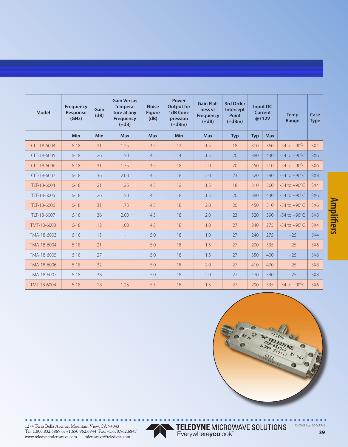| <b>Model</b>   | <b>Frequency</b><br>Response<br>(GHz) | Gain<br>(dB) | <b>Gain Versus</b><br>Tempera-<br>ture at any<br>Frequency<br>$(\pm dB)$ | <b>Noise</b><br><b>Figure</b><br>(dB) | Power<br><b>Output for</b><br>1dB Com-<br>pression<br>$(+dBm)$ | <b>Gain Flat-</b><br>ness vs<br><b>Frequency</b><br>$(\pm dB)$ | 3rd Order<br>Intercept<br>Point<br>$(+dBm)$ |            | <b>Input DC</b><br><b>Current</b><br>$@+12V$ | <b>Temp</b><br>Range     | Case<br><b>Type</b> |
|----------------|---------------------------------------|--------------|--------------------------------------------------------------------------|---------------------------------------|----------------------------------------------------------------|----------------------------------------------------------------|---------------------------------------------|------------|----------------------------------------------|--------------------------|---------------------|
|                | Min                                   | <b>Min</b>   | <b>Max</b>                                                               | <b>Max</b>                            | <b>Min</b>                                                     | <b>Max</b>                                                     | <b>Typ</b>                                  | <b>Typ</b> | <b>Max</b>                                   |                          |                     |
| CLT-18-6004    | $6 - 18$                              | 21           | 1.25                                                                     | 4.5                                   | 12                                                             | 1.5                                                            | 18                                          | 310        | 360                                          | $-54$ to $+90^{\circ}$ C | SX4                 |
| CLT-18-6005    | $6 - 18$                              | 26           | 1.50                                                                     | 4.5                                   | 14                                                             | 1.5                                                            | 20                                          | 380        | 430                                          | $-54$ to $+90^{\circ}$ C | SX <sub>6</sub>     |
| CLT-18-6006    | $6 - 18$                              | 31           | 1.75                                                                     | 4.5                                   | 18                                                             | 2.0                                                            | 20                                          | 450        | 510                                          | $-54$ to $+90^{\circ}$ C | SX <sub>6</sub>     |
| $CI$ T-18-6007 | $6 - 18$                              | 36           | 2.00                                                                     | 4.5                                   | 18                                                             | 2.0                                                            | 23                                          | 520        | 590                                          | $-54$ to $+90^{\circ}$ C | SX <sub>8</sub>     |
| TLT-18-6004    | $6 - 18$                              | 21           | 1.25                                                                     | 4.5                                   | 12                                                             | 1.5                                                            | 18                                          | 310        | 360                                          | $-54$ to $+90^{\circ}$ C | SX4                 |
| TLT-18-6005    | $6 - 18$                              | 26           | 1.50                                                                     | 4.5                                   | 18                                                             | 1.5                                                            | 20                                          | 380        | 430                                          | $-54$ to $+90^{\circ}$ C | SX <sub>6</sub>     |
| TLT-18-6006    | $6 - 18$                              | 31           | 1.75                                                                     | 4.5                                   | 18                                                             | 2.0                                                            | 20                                          | 450        | 510                                          | $-54$ to $+90^{\circ}$ C | SX <sub>6</sub>     |
| TLT-18-6007    | $6 - 18$                              | 36           | 2.00                                                                     | 4.5                                   | 18                                                             | 2.0                                                            | 23                                          | 520        | 590                                          | $-54$ to $+90^{\circ}$ C | SX8                 |
| TMT-18-6003    | $6 - 18$                              | 12           | 1.00                                                                     | 4.5                                   | 18                                                             | 1.0                                                            | 27                                          | 240        | 275                                          | $-54$ to $+90^{\circ}$ C | SX4                 |
| TMA-18-6003    | $6 - 18$                              | 15           | $\overline{a}$                                                           | 5.0                                   | 18                                                             | 1.0                                                            | 27                                          | 240        | 275                                          | $+25$                    | SX4                 |
| TMA-18-6004    | $6 - 18$                              | 21           |                                                                          | 5.0                                   | 18                                                             | 1.5                                                            | 27                                          | 290        | 335                                          | $+25$                    | SX <sub>6</sub>     |
| TMA-18-6005    | $6 - 18$                              | 27           |                                                                          | 5.0                                   | 18                                                             | 1.5                                                            | 27                                          | 350        | 400                                          | $+25$                    | SX <sub>6</sub>     |
| TMA-18-6006    | $6 - 18$                              | 32           |                                                                          | 5.0                                   | 18                                                             | 2.0                                                            | 27                                          | 410        | 470                                          | $+25$                    | SX <sub>8</sub>     |
| TMA-18-6007    | $6 - 18$                              | 38           |                                                                          | 5.0                                   | 18                                                             | 2.0                                                            | 27                                          | 470        | 540                                          | $+25$                    | SX <sub>8</sub>     |
| TMT-18-6004    | $6 - 18$                              | 18           | 1.25                                                                     | 5.5                                   | 18                                                             | 1.5                                                            | 27                                          | 290        | 335                                          | $-54$ to $+90^{\circ}$ C | 5X6                 |



. . . . . . . . . . . . . . .

1274 Terra Bella Avenue, Mountain View, CA 94043 Tel: 1.800.832.6869 or +1.650.962.6944 Fax: +1.650.962.6845 www.teledynemicrowave.com microwave@teledyne.com



TELEDYNE MICROWAVE SOLUTIONS<br>Everywhereyoulook"

**39**

 $\bullet$ 

OFOISR App 06-S-1942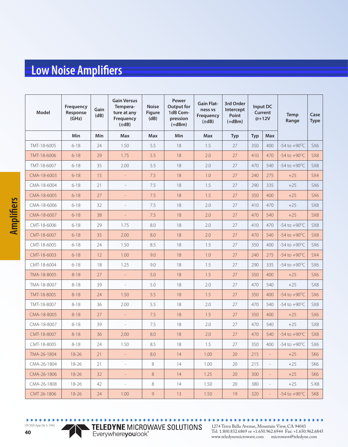| Model       | Frequency<br>Response<br>(GHz) | Gain<br>(dB) | <b>Gain Versus</b><br>Tempera-<br>ture at any<br>Frequency<br>$(\pm dB)$ | <b>Noise</b><br><b>Figure</b><br>(dB) | Power<br><b>Output for</b><br>1dB Com-<br>pression<br>$(+dBm)$ | <b>Gain Flat-</b><br>ness vs<br>Frequency<br>$(\pm dB)$ | 3rd Order<br>Intercept<br>Point<br>$(+dBm)$ | Input DC<br>Current<br>@+12V |                          | <b>Temp</b><br>Range     | Case<br>Type    |
|-------------|--------------------------------|--------------|--------------------------------------------------------------------------|---------------------------------------|----------------------------------------------------------------|---------------------------------------------------------|---------------------------------------------|------------------------------|--------------------------|--------------------------|-----------------|
|             | Min                            | Min          | <b>Max</b>                                                               | <b>Max</b>                            | <b>Min</b>                                                     | <b>Max</b>                                              | <b>Typ</b>                                  | <b>Typ</b>                   | <b>Max</b>               |                          |                 |
| TMT-18-6005 | $6 - 18$                       | 24           | 1.50                                                                     | 5.5                                   | 18                                                             | 1.5                                                     | 27                                          | 350                          | 400                      | $-54$ to $+90^{\circ}$ C | SX <sub>6</sub> |
| TMT-18-6006 | $6 - 18$                       | 29           | 1.75                                                                     | 5.5                                   | 18                                                             | 2.0                                                     | 27                                          | 410                          | 470                      | $-54$ to $+90^{\circ}$ C | SX8             |
| TMT-18-6007 | $6 - 18$                       | 35           | 2.00                                                                     | 5.5                                   | 18                                                             | 2.0                                                     | 27                                          | 470                          | 540                      | $-54$ to $+90^{\circ}$ C | SX8             |
| CMA-18-6003 | $6 - 18$                       | 15           | $\equiv$                                                                 | 7.5                                   | 18                                                             | 1.0                                                     | 27                                          | 240                          | 275                      | $+25$                    | SX4             |
| CMA-18-6004 | $6 - 18$                       | 21           | $\overline{\phantom{a}}$                                                 | 7.5                                   | 18                                                             | 1.5                                                     | 27                                          | 290                          | 335                      | $+25$                    | SX <sub>6</sub> |
| CMA-18-6005 | $6 - 18$                       | 27           | $\overline{\phantom{a}}$                                                 | 7.5                                   | 18                                                             | 1.5                                                     | 27                                          | 350                          | 400                      | $+25$                    | SX <sub>6</sub> |
| CMA-18-6006 | $6 - 18$                       | 32           | $\overline{\phantom{a}}$                                                 | 7.5                                   | 18                                                             | 2.0                                                     | 27                                          | 410                          | 470                      | $+25$                    | SX8             |
| CMA-18-6007 | $6 - 18$                       | 38           | $\overline{\phantom{a}}$                                                 | 7.5                                   | 18                                                             | 2.0                                                     | 27                                          | 470                          | 540                      | $+25$                    | SX8             |
| CMT-18-6006 | $6 - 18$                       | 29           | 1.75                                                                     | 8.0                                   | 18                                                             | 2.0                                                     | 27                                          | 410                          | 470                      | $-54$ to $+90^{\circ}$ C | SX8             |
| CMT-18-6007 | $6 - 18$                       | 35           | 2.00                                                                     | 8.0                                   | 18                                                             | 2.0                                                     | 27                                          | 470                          | 540                      | $-54$ to $+90^{\circ}$ C | SX8             |
| CMT-18-6005 | $6 - 18$                       | 24           | 1.50                                                                     | 8.5                                   | 18                                                             | 1.5                                                     | 27                                          | 350                          | 400                      | $-54$ to $+90^{\circ}$ C | SX6             |
| CMT-18-6003 | $6 - 18$                       | 12           | 1.00                                                                     | 9.0                                   | 18                                                             | 1.0                                                     | 27                                          | 240                          | 275                      | $-54$ to $+90^{\circ}$ C | SX4             |
| CMT-18-6004 | $6 - 18$                       | 18           | 1.25                                                                     | 9.0                                   | 18                                                             | 1.5                                                     | 27                                          | 290                          | 335                      | $-54$ to $+90^{\circ}$ C | SX6             |
| TMA-18-8005 | $8 - 18$                       | 27           | $\equiv$                                                                 | 5.0                                   | 18                                                             | 1.5                                                     | 27                                          | 350                          | 400                      | $+25$                    | SX <sub>6</sub> |
| TMA-18-8007 | $8 - 18$                       | 39           | $\overline{\phantom{a}}$                                                 | 5.0                                   | 18                                                             | 2.0                                                     | 27                                          | 470                          | 540                      | $+25$                    | SX8             |
| TMT-18-8005 | $8 - 18$                       | 24           | 1.50                                                                     | 5.5                                   | 18                                                             | 1.5                                                     | 27                                          | 350                          | 400                      | $-54$ to $+90^{\circ}$ C | SX <sub>6</sub> |
| TMT-18-8007 | $8 - 18$                       | 36           | 2.00                                                                     | 5.5                                   | 18                                                             | 2.0                                                     | 27                                          | 470                          | 540                      | $-54$ to $+90^{\circ}$ C | SX8             |
| CMA-18-8005 | $8 - 18$                       | 27           | $\bar{\phantom{a}}$                                                      | 7.5                                   | 18                                                             | 1.5                                                     | 27                                          | 350                          | 400                      | $+25$                    | SX <sub>6</sub> |
| CMA-18-8007 | $8 - 18$                       | 39           | $\overline{\phantom{a}}$                                                 | 7.5                                   | 18                                                             | 2.0                                                     | 27                                          | 470                          | 540                      | $+25$                    | SX8             |
| CMT-18-8007 | $8 - 18$                       | 36           | 2.00                                                                     | 8.0                                   | 18                                                             | 2.0                                                     | 27                                          | 470                          | 540                      | $-54$ to $+90^{\circ}$ C | SX8             |
| CMT-18-8005 | $8 - 18$                       | 24           | 1.50                                                                     | 8.5                                   | 18                                                             | 1.5                                                     | 27                                          | 350                          | 400                      | $-54$ to $+90^{\circ}$ C | SX <sub>6</sub> |
| TMA-26-1804 | 18-26                          | 21           | $\pm$                                                                    | $8.0\,$                               | 14                                                             | 1.00                                                    | 20                                          | 215                          | $\equiv$                 | $+25$                    | SK <sub>6</sub> |
| CMA-26-1804 | 18-26                          | 21           | $\equiv$                                                                 | 8                                     | 14                                                             | 1.00                                                    | 20                                          | 215                          | $\frac{1}{2}$            | $+25$                    | SK6             |
| CMA-26-1806 | $18 - 26$                      | 32           | $\equiv$                                                                 | $8\phantom{.}$                        | 14                                                             | 1.25                                                    | 20                                          | 300                          | $\equiv$                 | $+25$                    | SK <sub>6</sub> |
| CMA-26-1808 | 18-26                          | 42           | $\pm$                                                                    | 8                                     | 14                                                             | 1.50                                                    | 20                                          | 380                          | $\overline{\phantom{a}}$ | $+25$                    | SK8             |
| CMT 26-1806 | 18-26                          | 24           | 1.00                                                                     | 9                                     | 13                                                             | 1.50                                                    | 19                                          | 320                          | $\equiv$                 | -54 to $+90^{\circ}$ C   | SK8             |

**40** OFOISR App 06-S-1942

 $\bullet$   $\bullet$ 

TELEDYNE MICROWAVE SOLUTIONS<br>Everywhereyoulook"

1274 Terra Bella Avenue, Mountain View, CA 94043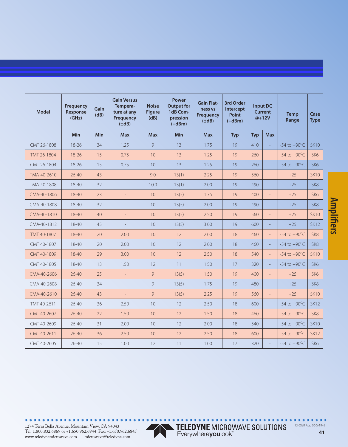| <b>Model</b> | Frequency<br>Response<br>(GHz) | Gain<br>(dB) | <b>Gain Versus</b><br>Tempera-<br>ture at any<br>Frequency<br>$(\pm dB)$ | <b>Noise</b><br><b>Figure</b><br>(dB) | <b>Power</b><br><b>Output for</b><br>1dB Com-<br>pression<br>$(+dBm)$ | <b>Gain Flat-</b><br>ness vs<br><b>Frequency</b><br>$(\pm dB)$ | 3rd Order<br>Intercept<br><b>Point</b><br>$(+dBm)$ |            | <b>Input DC</b><br><b>Current</b><br>$@+12V$ | <b>Temp</b><br>Range     | Case<br><b>Type</b> |
|--------------|--------------------------------|--------------|--------------------------------------------------------------------------|---------------------------------------|-----------------------------------------------------------------------|----------------------------------------------------------------|----------------------------------------------------|------------|----------------------------------------------|--------------------------|---------------------|
|              | <b>Min</b>                     | Min          | <b>Max</b>                                                               | <b>Max</b>                            | <b>Min</b>                                                            | <b>Max</b>                                                     | <b>Typ</b>                                         | <b>Typ</b> | <b>Max</b>                                   |                          |                     |
| CMT 26-1808  | $18 - 26$                      | 34           | 1.25                                                                     | 9                                     | 13                                                                    | 1.75                                                           | 19                                                 | 410        |                                              | $-54$ to $+90^{\circ}$ C | <b>SK10</b>         |
| TMT 26-1804  | 18-26                          | 15           | 0.75                                                                     | 10                                    | 13                                                                    | 1.25                                                           | 19                                                 | 260        | $\Box$                                       | $-54$ to $+90^{\circ}$ C | SK <sub>6</sub>     |
| CMT 26-1804  | 18-26                          | 15           | 0.75                                                                     | 10 <sup>°</sup>                       | 13                                                                    | 1.25                                                           | 19                                                 | 260        | $\overline{a}$                               | $-54$ to $+90^{\circ}$ C | SK <sub>6</sub>     |
| TMA-40-2610  | $26 - 40$                      | 43           | $\bar{z}$                                                                | 9.0                                   | 13(1)                                                                 | 2.25                                                           | 19                                                 | 560        | $\overline{a}$                               | $+25$                    | <b>SK10</b>         |
| TMA-40-1808  | $18 - 40$                      | 32           |                                                                          | 10.0                                  | 13(1)                                                                 | 2.00                                                           | 19                                                 | 490        | ÷                                            | $+25$                    | SK8                 |
| CMA-40-1806  | $18 - 40$                      | 23           | $\equiv$                                                                 | 10                                    | 13(5)                                                                 | 1.75                                                           | 19                                                 | 400        | $\overline{a}$                               | $+25$                    | SK <sub>6</sub>     |
| CMA-40-1808  | $18 - 40$                      | 32           |                                                                          | 10 <sup>°</sup>                       | 13(5)                                                                 | 2.00                                                           | 19                                                 | 490        |                                              | $+25$                    | SK <sub>8</sub>     |
| CMA-40-1810  | 18-40                          | 40           | $\frac{1}{2}$                                                            | 10                                    | 13(5)                                                                 | 2.50                                                           | 19                                                 | 560        | $\overline{a}$                               | $+25$                    | <b>SK10</b>         |
| CMA-40-1812  | $18 - 40$                      | 45           | $\equiv$                                                                 | 10                                    | 13(5)                                                                 | 3.00                                                           | 19                                                 | 600        | $\overline{a}$                               | $+25$                    | <b>SK12</b>         |
| TMT 40-1807  | 18-40                          | 20           | 2.00                                                                     | 10                                    | 12                                                                    | 2.00                                                           | 18                                                 | 460        | $\overline{a}$                               | $-54$ to $+90^{\circ}$ C | SK <sub>8</sub>     |
| CMT 40-1807  | $18 - 40$                      | 20           | 2.00                                                                     | 10                                    | 12                                                                    | 2.00                                                           | 18                                                 | 460        |                                              | $-54$ to $+90^{\circ}$ C | SK8                 |
| CMT 40-1809  | 18-40                          | 29           | 3.00                                                                     | 10                                    | 12                                                                    | 2.50                                                           | 18                                                 | 540        | $\frac{1}{2}$                                | $-54$ to $+90^{\circ}$ C | <b>SK10</b>         |
| CMT 40-1805  | $18 - 40$                      | 13           | 1.50                                                                     | 12                                    | 11                                                                    | 1.50                                                           | 17                                                 | 320        |                                              | $-54$ to $+90^{\circ}$ C | SK <sub>6</sub>     |
| CMA-40-2606  | $26 - 40$                      | 25           | $\frac{1}{2}$                                                            | 9                                     | 13(5)                                                                 | 1.50                                                           | 19                                                 | 400        |                                              | $+25$                    | SK <sub>6</sub>     |
| CMA-40-2608  | $26 - 40$                      | 34           | $\overline{\phantom{a}}$                                                 | $\mathcal{G}$                         | 13(5)                                                                 | 1.75                                                           | 19                                                 | 480        | $\overline{a}$                               | $+25$                    | SK <sub>8</sub>     |
| CMA-40-2610  | $26 - 40$                      | 43           | $\overline{\phantom{a}}$                                                 | 9                                     | 13(5)                                                                 | 2.25                                                           | 19                                                 | 560        | $\overline{\phantom{a}}$                     | $+25$                    | <b>SK10</b>         |
| TMT 40-2611  | $26 - 40$                      | 36           | 2.50                                                                     | 10                                    | 12                                                                    | 2.50                                                           | 18                                                 | 600        | $\overline{a}$                               | $-54$ to $+90^{\circ}$ C | <b>SK12</b>         |
| CMT 40-2607  | $26 - 40$                      | 22           | 1.50                                                                     | 10                                    | 12                                                                    | 1.50                                                           | 18                                                 | 460        | $\Box$                                       | $-54$ to $+90^{\circ}$ C | SK8                 |
| CMT 40-2609  | $26 - 40$                      | 31           | 2.00                                                                     | 10                                    | 12                                                                    | 2.00                                                           | 18                                                 | 540        |                                              | $-54$ to $+90^{\circ}$ C | <b>SK10</b>         |
| CMT 40-2611  | $26 - 40$                      | 36           | 2.50                                                                     | 10                                    | 12                                                                    | 2.50                                                           | 18                                                 | 600        | $\equiv$                                     | $-54$ to $+90^{\circ}$ C | <b>SK12</b>         |
| CMT 40-2605  | $26 - 40$                      | 15           | 1.00                                                                     | 12                                    | 11                                                                    | 1.00                                                           | 17                                                 | 320        | $\overline{a}$                               | $-54$ to $+90^{\circ}$ C | SK <sub>6</sub>     |

................ 1274 Terra Bella Avenue, Mountain View, CA 94043



 $0.0.0$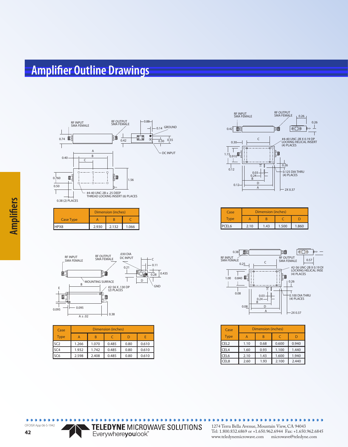#### **Amplifier Outline Drawings**



|                  |       | Dimension (inches) |       |
|------------------|-------|--------------------|-------|
| <b>Case Type</b> |       |                    |       |
| HPX8             | 2.930 | 2.132              | 1.066 |



| Case            | Dimension (inches) |       |       |      |       |
|-----------------|--------------------|-------|-------|------|-------|
| <b>Type</b>     | А                  | B     |       |      | E     |
| SC <sub>2</sub> | 1.266              | 1.070 | 0.485 | 0.80 | 0.610 |
| SC <sub>4</sub> | 1.932              | 1.742 | 0.485 | 0.80 | 0.610 |
| SC <sub>6</sub> | 2.598              | 2.408 | 0.485 | 0.80 | 0.610 |



| Case             | <b>Dimension (inches)</b> |      |       |       |
|------------------|---------------------------|------|-------|-------|
| vpe <sup>-</sup> |                           |      |       |       |
| CEI 6            | 2.10                      | 1.43 | 1.500 | 1.860 |



| Case             | Dimension (inches) |      |       |       |  |
|------------------|--------------------|------|-------|-------|--|
| <b>Type</b>      | А                  | R    |       |       |  |
| CEL <sub>2</sub> | 1.10               | 0.68 | 0.600 | 0.940 |  |
| CEL <sub>4</sub> | 1.60               | 0.93 | 1.100 | 1.440 |  |
| CEL6             | 2.10               | 1.43 | 1.600 | 1.940 |  |
| CEL <sub>8</sub> | 2.60               | 1.93 | 2.100 | 2.440 |  |



 $\bullet$ 1274 Terra Bella Avenue, Mountain View, CA 94043 Tel: 1.800.832.6869 or +1.650.962.6944 Fax: +1.650.962.6845 www.teledynemicrowave.com microwave@teledyne.com

 $\bullet$ 

 $\bullet$  $\bullet$   $0.0000000$ 

٠  $\blacksquare$  $\bullet$ 

 $\bullet$  $\bullet$ 

TELEDYNE MICROWAVE SOLUTIONS<br>Everywhereyoulook"

 $\bullet$  $\bullet$  $\bullet$ ٠  $0.0.0$ 

OFOISR App 06-S-1942

 $\bullet$ ٠  $\bullet$ ٠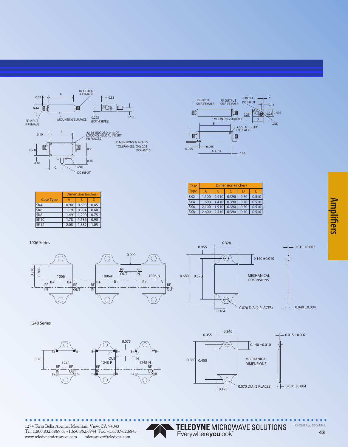



| Case            | <b>Dimension (inches)</b> |       |             |      |       |
|-----------------|---------------------------|-------|-------------|------|-------|
| <b>Type</b>     |                           |       |             |      |       |
| SX <sub>2</sub> | 1.100                     | 0.910 | 0.390       | 0.70 | 0.510 |
| SX <sub>4</sub> | 1.600                     |       | 1.410 0.390 | 0.70 | 0.510 |
| SX <sub>6</sub> | 2.100                     |       | 1.910 0.390 | 0.70 | 0.510 |
| SX <sub>8</sub> | 2.600                     |       | 2.410 0.390 | 0.70 | 0.510 |

|                  | Dimension (inches) |       |      |  |
|------------------|--------------------|-------|------|--|
| <b>Case Type</b> | А                  |       |      |  |
| SK4              | 0.90               | 0.698 | 0.45 |  |
| SK <sub>6</sub>  | 1.19               | 0.994 | 0.60 |  |
| SK <sub>8</sub>  | 1.49               | 1.290 | 0.75 |  |
| <b>SK10</b>      | 1.78               | 1.586 | 0.90 |  |
| <b>SK12</b>      | 2.08               | 1.882 | 1.05 |  |

1006 Series





1248 Series





**Amplifiers** 

 $\bullet$  $\bullet$  $\bullet$  $0.0.0.0.0$  $\bullet$  $\bullet$  $\bullet$  $\bullet$  $\bullet$ 

TELEDYNE MICROWAVE SOLUTIONS<br>Everywhereyoulook"

OFOISR App 06-S-1942

 $\bullet$